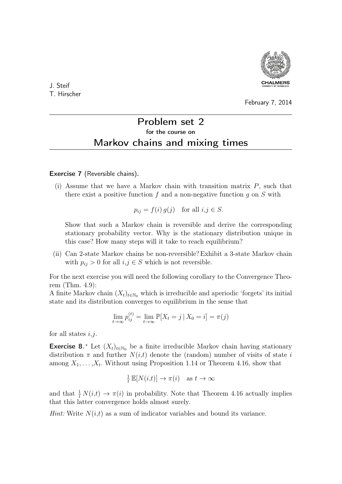

J. Steif T. Hirscher

## February 7, 2014

## Problem set 2 for the course on Markov chains and mixing times

Exercise 7 (Reversible chains).

(i) Assume that we have a Markov chain with transition matrix  $P$ , such that there exist a positive function f and a non-negative function q on  $S$  with

 $p_{ij} = f(i) g(j)$  for all  $i, j \in S$ .

Show that such a Markov chain is reversible and derive the corresponding stationary probability vector. Why is the stationary distribution unique in this case? How many steps will it take to reach equilibrium?

(ii) Can 2-state Markov chains be non-reversible?Exhibit a 3-state Markov chain with  $p_{ij} > 0$  for all  $i, j \in S$  which is not reversible.

For the next exercise you will need the following corollary to the Convergence Theorem (Thm. 4.9):

A finite Markov chain  $(X_t)_{t\in\mathbb{N}_0}$  which is irreducible and aperiodic 'forgets' its initial state and its distribution converges to equilibrium in the sense that

$$
\lim_{t \to \infty} p_{ij}^{(t)} = \lim_{t \to \infty} \mathbb{P}[X_t = j \,|\, X_0 = i] = \pi(j)
$$

for all states  $i, j$ .

**Exercise 8.** \* Let  $(X_t)_{t \in \mathbb{N}_0}$  be a finite irreducible Markov chain having stationary distribution  $\pi$  and further  $N(i,t)$  denote the (random) number of visits of state i among  $X_1, \ldots, X_t$ . Without using Proposition 1.14 or Theorem 4.16, show that

$$
\frac{1}{t}\mathbb{E}[N(i,t)] \to \pi(i) \quad \text{as } t \to \infty
$$

and that  $\frac{1}{t} N(i,t) \to \pi(i)$  in probability. Note that Theorem 4.16 actually implies that this latter convergence holds almost surely.

*Hint:* Write  $N(i,t)$  as a sum of indicator variables and bound its variance.